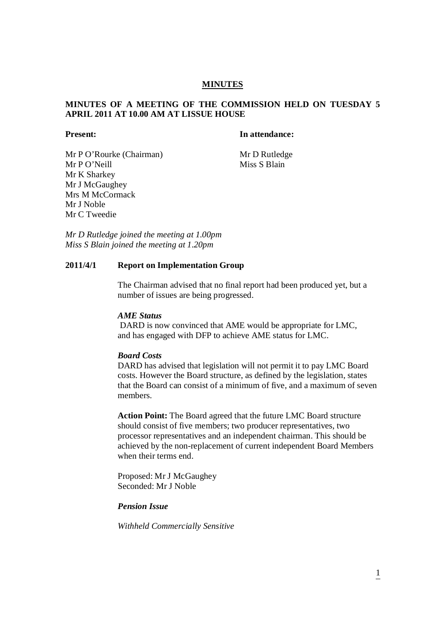# **MINUTES**

# **MINUTES OF A MEETING OF THE COMMISSION HELD ON TUESDAY 5 APRIL 2011 AT 10.00 AM AT LISSUE HOUSE**

### **Present: In attendance:**

Mr P O'Rourke (Chairman) Mr D Rutledge

Mr P O'Neill Miss S Blain Mr K Sharkey Mr J McGaughey Mrs M McCormack Mr J Noble Mr C Tweedie

*Mr D Rutledge joined the meeting at 1.00pm Miss S Blain joined the meeting at 1.20pm*

# **2011/4/1 Report on Implementation Group**

The Chairman advised that no final report had been produced yet, but a number of issues are being progressed.

# *AME Status*

DARD is now convinced that AME would be appropriate for LMC, and has engaged with DFP to achieve AME status for LMC.

# *Board Costs*

DARD has advised that legislation will not permit it to pay LMC Board costs. However the Board structure, as defined by the legislation, states that the Board can consist of a minimum of five, and a maximum of seven members.

**Action Point:** The Board agreed that the future LMC Board structure should consist of five members; two producer representatives, two processor representatives and an independent chairman. This should be achieved by the non-replacement of current independent Board Members when their terms end.

Proposed: Mr J McGaughey Seconded: Mr J Noble

# *Pension Issue*

*Withheld Commercially Sensitive*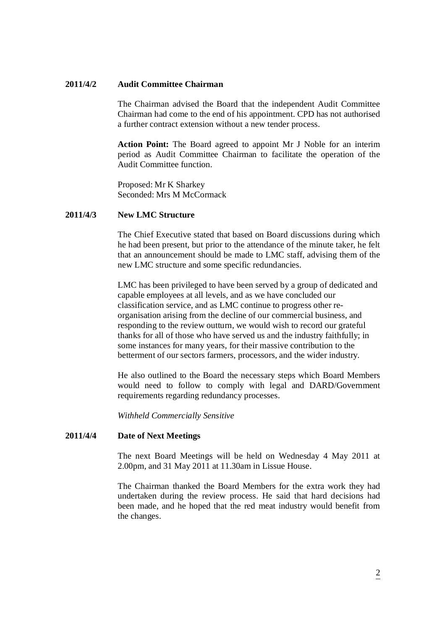#### **2011/4/2 Audit Committee Chairman**

The Chairman advised the Board that the independent Audit Committee Chairman had come to the end of his appointment. CPD has not authorised a further contract extension without a new tender process.

**Action Point:** The Board agreed to appoint Mr J Noble for an interim period as Audit Committee Chairman to facilitate the operation of the Audit Committee function.

Proposed: Mr K Sharkey Seconded: Mrs M McCormack

# **2011/4/3 New LMC Structure**

The Chief Executive stated that based on Board discussions during which he had been present, but prior to the attendance of the minute taker, he felt that an announcement should be made to LMC staff, advising them of the new LMC structure and some specific redundancies.

LMC has been privileged to have been served by a group of dedicated and capable employees at all levels, and as we have concluded our classification service, and as LMC continue to progress other reorganisation arising from the decline of our commercial business, and responding to the review outturn, we would wish to record our grateful thanks for all of those who have served us and the industry faithfully; in some instances for many years, for their massive contribution to the betterment of our sectors farmers, processors, and the wider industry.

He also outlined to the Board the necessary steps which Board Members would need to follow to comply with legal and DARD/Government requirements regarding redundancy processes.

*Withheld Commercially Sensitive*

### **2011/4/4 Date of Next Meetings**

The next Board Meetings will be held on Wednesday 4 May 2011 at 2.00pm, and 31 May 2011 at 11.30am in Lissue House.

The Chairman thanked the Board Members for the extra work they had undertaken during the review process. He said that hard decisions had been made, and he hoped that the red meat industry would benefit from the changes.